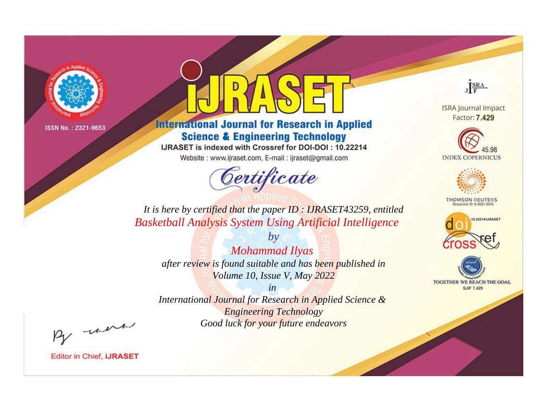

# **International Journal for Research in Applied Science & Engineering Technology**

IJRASET is indexed with Crossref for DOI-DOI: 10.22214

Website: www.ijraset.com, E-mail: ijraset@gmail.com

# Certificate

JERA

**ISRA Journal Impact** Factor: 7.429





**THOMSON REUTERS** 



TOGETHER WE REACH THE GOAL **SJIF 7.429** 

*It is here by certified that the paper ID : IJRASET43259, entitled Basketball Analysis System Using Artificial Intelligence*

*by Mohammad Ilyas after review is found suitable and has been published in Volume 10, Issue V, May 2022*

*in* 

*International Journal for Research in Applied Science & Engineering Technology Good luck for your future endeavors*

By morn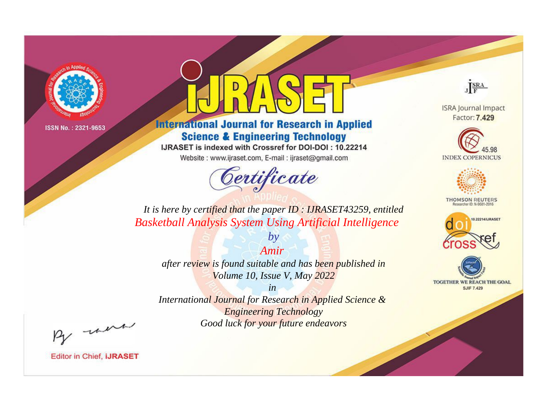

# **International Journal for Research in Applied Science & Engineering Technology**

IJRASET is indexed with Crossref for DOI-DOI: 10.22214

Website: www.ijraset.com, E-mail: ijraset@gmail.com



JERA

**ISRA Journal Impact** Factor: 7.429





**THOMSON REUTERS** 



TOGETHER WE REACH THE GOAL **SJIF 7.429** 

*It is here by certified that the paper ID : IJRASET43259, entitled Basketball Analysis System Using Artificial Intelligence*

> *Amir after review is found suitable and has been published in Volume 10, Issue V, May 2022*

*by*

*in* 

*International Journal for Research in Applied Science & Engineering Technology Good luck for your future endeavors*

By morn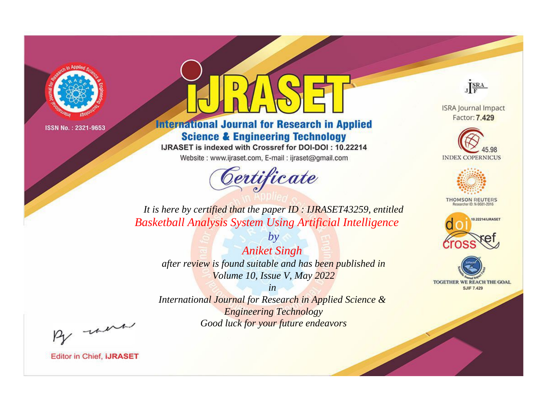

# **International Journal for Research in Applied Science & Engineering Technology**

IJRASET is indexed with Crossref for DOI-DOI: 10.22214

Website: www.ijraset.com, E-mail: ijraset@gmail.com



JERA

**ISRA Journal Impact** Factor: 7.429





**THOMSON REUTERS** 



TOGETHER WE REACH THE GOAL **SJIF 7.429** 

*It is here by certified that the paper ID : IJRASET43259, entitled Basketball Analysis System Using Artificial Intelligence*

*by Aniket Singh after review is found suitable and has been published in Volume 10, Issue V, May 2022*

*in* 

*International Journal for Research in Applied Science & Engineering Technology Good luck for your future endeavors*

By morn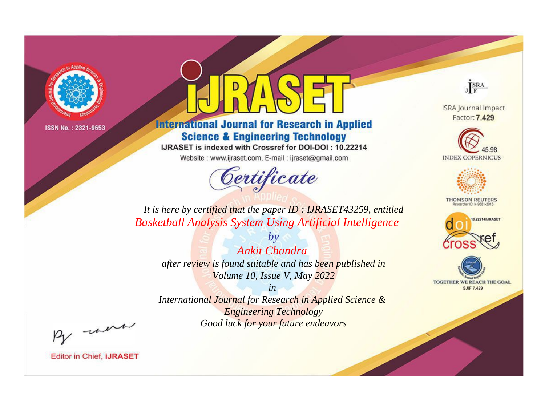

# **International Journal for Research in Applied Science & Engineering Technology**

IJRASET is indexed with Crossref for DOI-DOI: 10.22214

Website: www.ijraset.com, E-mail: ijraset@gmail.com



JERA

**ISRA Journal Impact** Factor: 7.429





**THOMSON REUTERS** 



TOGETHER WE REACH THE GOAL **SJIF 7.429** 

*It is here by certified that the paper ID : IJRASET43259, entitled Basketball Analysis System Using Artificial Intelligence*

*by Ankit Chandra after review is found suitable and has been published in Volume 10, Issue V, May 2022*

*in* 

*International Journal for Research in Applied Science & Engineering Technology Good luck for your future endeavors*

By morn